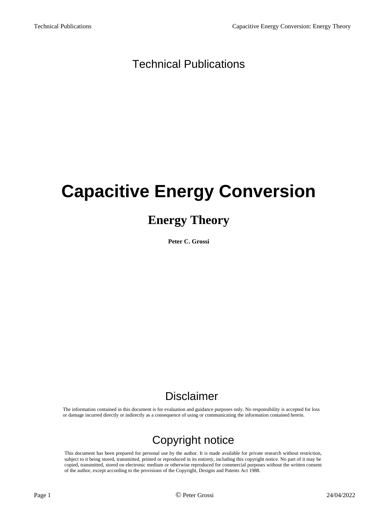### Technical Publications

# **Capacitive Energy Conversion**

### **Energy Theory**

**Peter C. Grossi**

### Disclaimer

The information contained in this document is for evaluation and guidance purposes only. No responsibility is accepted for loss or damage incurred directly or indirectly as a consequence of using or communicating the information contained herein.

### Copyright notice

This document has been prepared for personal use by the author. It is made available for private research without restriction, subject to it being stored, transmitted, printed or reproduced in its entirety, including this copyright notice. No part of it may be copied, transmitted, stored on electronic medium or otherwise reproduced for commercial purposes without the written consent of the author, except according to the provisions of the Copyright, Designs and Patents Act 1988.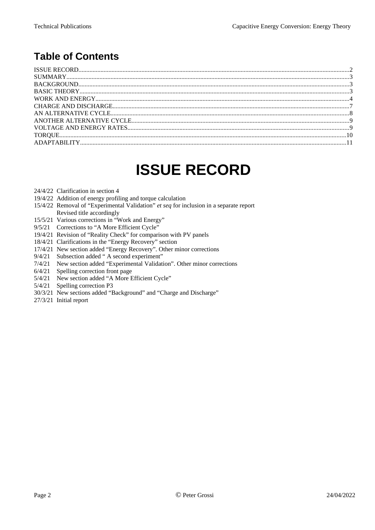### **Table of Contents**

### <span id="page-1-0"></span>**ISSUE RECORD**

- 24/4/22 Clarification in section 4
- 19/4/22 Addition of energy profiling and torque calculation
- 15/4/22 Removal of "Experimental Validation" *et seq* for inclusion in a separate report Revised title accordingly
- 15/5/21 Various corrections in "Work and Energy"
- 9/5/21 Corrections to "A More Efficient Cycle"
- 19/4/21 Revision of "Reality Check" for comparison with PV panels
- 18/4/21 Clarifications in the "Energy Recovery" section
- 17/4/21 New section added "Energy Recovery". Other minor corrections
- 9/4/21 Subsection added " A second experiment"
- 7/4/21 New section added "Experimental Validation". Other minor corrections
- 6/4/21 Spelling correction front page
- 5/4/21 New section added "A More Efficient Cycle"
- 5/4/21 Spelling correction P3
- 30/3/21 New sections added "Background" and "Charge and Discharge"
- 27/3/21 Initial report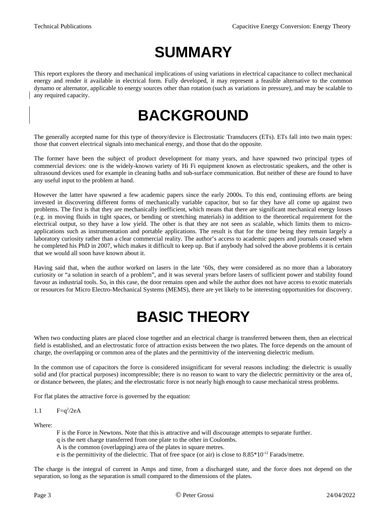## <span id="page-2-2"></span>**SUMMARY**

This report explores the theory and mechanical implications of using variations in electrical capacitance to collect mechanical energy and render it available in electrical form. Fully developed, it may represent a feasible alternative to the common dynamo or alternator, applicable to energy sources other than rotation (such as variations in pressure), and may be scalable to any required capacity.

### <span id="page-2-1"></span>**BACKGROUND**

The generally accepted name for this type of theory/device is Electrostatic Transducers (ETs). ETs fall into two main types: those that convert electrical signals into mechanical energy, and those that do the opposite.

The former have been the subject of product development for many years, and have spawned two principal types of commercial devices: one is the widely-known variety of Hi Fi equipment known as electrostatic speakers, and the other is ultrasound devices used for example in cleaning baths and sub-surface communication. But neither of these are found to have any useful input to the problem at hand.

However the latter have spawned a few academic papers since the early 2000s. To this end, continuing efforts are being invested in discovering different forms of mechanically variable capacitor, but so far they have all come up against two problems. The first is that they are mechanically inefficient, which means that there are significant mechanical energy losses (e.g. in moving fluids in tight spaces, or bending or stretching materials) in addition to the theoretical requirement for the electrical output, so they have a low yield. The other is that they are not seen as scalable, which limits them to microapplications such as instrumentation and portable applications. The result is that for the time being they remain largely a laboratory curiosity rather than a clear commercial reality. The author's access to academic papers and journals ceased when he completed his PhD in 2007, which makes it difficult to keep up. But if anybody had solved the above problems it is certain that we would all soon have known about it.

Having said that, when the author worked on lasers in the late '60s, they were considered as no more than a laboratory curiosity or "a solution in search of a problem", and it was several years before lasers of sufficient power and stability found favour as industrial tools. So, in this case, the door remains open and while the author does not have access to exotic materials or resources for Micro Electro-Mechanical Systems (MEMS), there are yet likely to be interesting opportunities for discovery.

## <span id="page-2-0"></span>**BASIC THEORY**

When two conducting plates are placed close together and an electrical charge is transferred between them, then an electrical field is established, and an electrostatic force of attraction exists between the two plates. The force depends on the amount of charge, the overlapping or common area of the plates and the permittivity of the intervening dielectric medium.

In the common use of capacitors the force is considered insignificant for several reasons including: the dielectric is usually solid and (for practical purposes) incompressible; there is no reason to want to vary the dielectric permittivity or the area of, or distance between, the plates; and the electrostatic force is not nearly high enough to cause mechanical stress problems.

For flat plates the attractive force is governed by the equation:

$$
1.1 \qquad F=q^2/2eA
$$

Where:

- F is the Force in Newtons. Note that this is attractive and will discourage attempts to separate further.
- q is the nett charge transferred from one plate to the other in Coulombs.
- A is the common (overlapping) area of the plates in square metres.
- e is the permittivity of the dielectric. That of free space (or air) is close to  $8.85*10^{-12}$  Farads/metre.

The charge is the integral of current in Amps and time, from a discharged state, and the force does not depend on the separation, so long as the separation is small compared to the dimensions of the plates.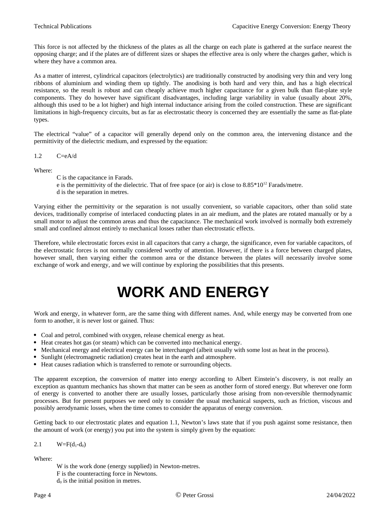This force is not affected by the thickness of the plates as all the charge on each plate is gathered at the surface nearest the opposing charge; and if the plates are of different sizes or shapes the effective area is only where the charges gather, which is where they have a common area.

As a matter of interest, cylindrical capacitors (electrolytics) are traditionally constructed by anodising very thin and very long ribbons of aluminium and winding them up tightly. The anodising is both hard and very thin, and has a high electrical resistance, so the result is robust and can cheaply achieve much higher capacitance for a given bulk than flat-plate style components. They do however have significant disadvantages, including large variability in value (usually about 20%, although this used to be a lot higher) and high internal inductance arising from the coiled construction. These are significant limitations in high-frequency circuits, but as far as electrostatic theory is concerned they are essentially the same as flat-plate types.

The electrical "value" of a capacitor will generally depend only on the common area, the intervening distance and the permittivity of the dielectric medium, and expressed by the equation:

1.2 C=eA/d

Where:

C is the capacitance in Farads. e is the permittivity of the dielectric. That of free space (or air) is close to  $8.85*10^{12}$  Farads/metre. d is the separation in metres.

Varying either the permittivity or the separation is not usually convenient, so variable capacitors, other than solid state devices, traditionally comprise of interlaced conducting plates in an air medium, and the plates are rotated manually or by a small motor to adjust the common areas and thus the capacitance. The mechanical work involved is normally both extremely small and confined almost entirely to mechanical losses rather than electrostatic effects.

Therefore, while electrostatic forces exist in all capacitors that carry a charge, the significance, even for variable capacitors, of the electrostatic forces is not normally considered worthy of attention. However, if there is a force between charged plates, however small, then varying either the common area or the distance between the plates will necessarily involve some exchange of work and energy, and we will continue by exploring the possibilities that this presents.

### <span id="page-3-0"></span>**WORK AND ENERGY**

Work and energy, in whatever form, are the same thing with different names. And, while energy may be converted from one form to another, it is never lost or gained. Thus:

- Coal and petrol, combined with oxygen, release chemical energy as heat.
- Heat creates hot gas (or steam) which can be converted into mechanical energy.
- Mechanical energy and electrical energy can be interchanged (albeit usually with some lost as heat in the process).
- Sunlight (electromagnetic radiation) creates heat in the earth and atmosphere.
- Heat causes radiation which is transferred to remote or surrounding objects.

The apparent exception, the conversion of matter into energy according to Albert Einstein's discovery, is not really an exception as quantum mechanics has shown that matter can be seen as another form of stored energy. But wherever one form of energy is converted to another there are usually losses, particularly those arising from non-reversible thermodynamic processes. But for present purposes we need only to consider the usual mechanical suspects, such as friction, viscous and possibly aerodynamic losses, when the time comes to consider the apparatus of energy conversion.

Getting back to our electrostatic plates and equation 1.1, Newton's laws state that if you push against some resistance, then the amount of work (or energy) you put into the system is simply given by the equation:

$$
2.1 \qquad W = F(d_1-d_0)
$$

#### Where:

W is the work done (energy supplied) in Newton-metres. F is the counteracting force in Newtons.  $d_0$  is the initial position in metres.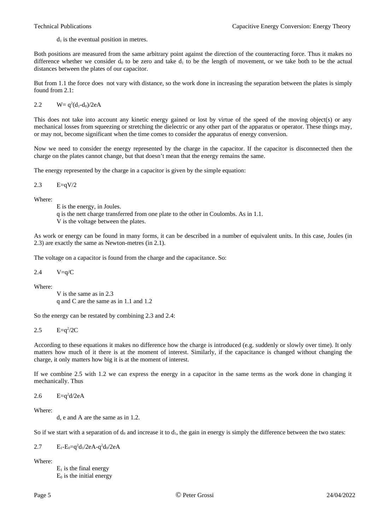$d_1$  is the eventual position in metres.

Both positions are measured from the same arbitrary point against the direction of the counteracting force. Thus it makes no difference whether we consider  $d_0$  to be zero and take  $d_1$  to be the length of movement, or we take both to be the actual distances between the plates of our capacitor.

But from 1.1 the force does not vary with distance, so the work done in increasing the separation between the plates is simply found from 2.1:

2.2  $W = q^2(d_1-d_0)/2eA$ 

This does not take into account any kinetic energy gained or lost by virtue of the speed of the moving object(s) or any mechanical losses from squeezing or stretching the dielectric or any other part of the apparatus or operator. These things may, or may not, become significant when the time comes to consider the apparatus of energy conversion.

Now we need to consider the energy represented by the charge in the capacitor. If the capacitor is disconnected then the charge on the plates cannot change, but that doesn't mean that the energy remains the same.

The energy represented by the charge in a capacitor is given by the simple equation:

2.3 E=qV/2

Where:

E is the energy, in Joules.

q is the nett charge transferred from one plate to the other in Coulombs. As in 1.1.

V is the voltage between the plates.

As work or energy can be found in many forms, it can be described in a number of equivalent units. In this case, Joules (in 2.3) are exactly the same as Newton-metres (in 2.1).

The voltage on a capacitor is found from the charge and the capacitance. So:

2.4  $V=q/C$ 

Where:

V is the same as in 2.3 q and C are the same as in 1.1 and 1.2

So the energy can be restated by combining 2.3 and 2.4:

2.5  $E=q^2/2C$ 

According to these equations it makes no difference how the charge is introduced (e.g. suddenly or slowly over time). It only matters how much of it there is at the moment of interest. Similarly, if the capacitance is changed without changing the charge, it only matters how big it is at the moment of interest.

If we combine 2.5 with 1.2 we can express the energy in a capacitor in the same terms as the work done in changing it mechanically. Thus

2.6  $E=q^2d/2eA$ 

Where:

d, e and A are the same as in 1.2.

So if we start with a separation of  $d_0$  and increase it to  $d_1$ , the gain in energy is simply the difference between the two states:

2.7  $E_1 - E_0 = q^2 d_1 / 2eA - q^2 d_0 / 2eA$ 

Where:

 $E_1$  is the final energy  $E_0$  is the initial energy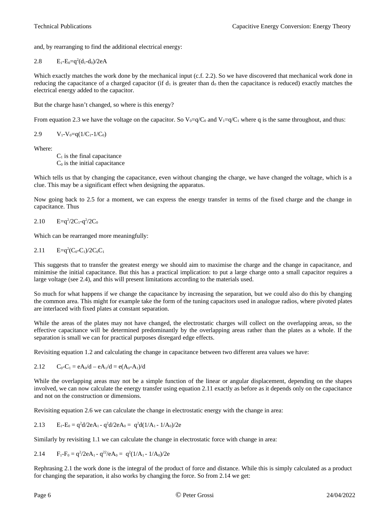and, by rearranging to find the additional electrical energy:

2.8  $E_1 - E_0 = q^2(d_1 - d_0)/2eA$ 

Which exactly matches the work done by the mechanical input (c.f. 2.2). So we have discovered that mechanical work done in reducing the capacitance of a charged capacitor (if  $d_1$  is greater than  $d_0$  then the capacitance is reduced) exactly matches the electrical energy added to the capacitor.

But the charge hasn't changed, so where is this energy?

From equation 2.3 we have the voltage on the capacitor. So  $V_0=q/C_0$  and  $V_1=q/C_1$  where q is the same throughout, and thus:

2.9 
$$
V_1 - V_0 = q(1/C_1 - 1/C_0)
$$

Where:

 $C_1$  is the final capacitance  $C_0$  is the initial capacitance

Which tells us that by changing the capacitance, even without changing the charge, we have changed the voltage, which is a clue. This may be a significant effect when designing the apparatus.

Now going back to 2.5 for a moment, we can express the energy transfer in terms of the fixed charge and the change in capacitance. Thus

2.10  $E=q^2/2C_1-q^2/2C_0$ 

Which can be rearranged more meaningfully:

2.11 
$$
E=q^2(C_0-C_1)/2C_0C_1
$$

This suggests that to transfer the greatest energy we should aim to maximise the charge and the change in capacitance, and minimise the initial capacitance. But this has a practical implication: to put a large charge onto a small capacitor requires a large voltage (see 2.4), and this will present limitations according to the materials used.

So much for what happens if we change the capacitance by increasing the separation, but we could also do this by changing the common area. This might for example take the form of the tuning capacitors used in analogue radios, where pivoted plates are interlaced with fixed plates at constant separation.

While the areas of the plates may not have changed, the electrostatic charges will collect on the overlapping areas, so the effective capacitance will be determined predominantly by the overlapping areas rather than the plates as a whole. If the separation is small we can for practical purposes disregard edge effects.

Revisiting equation 1.2 and calculating the change in capacitance between two different area values we have:

2.12  $C_0 - C_1 = eA_0/d - eA_1/d = e(A_0 - A_1)/d$ 

While the overlapping areas may not be a simple function of the linear or angular displacement, depending on the shapes involved, we can now calculate the energy transfer using equation 2.11 exactly as before as it depends only on the capacitance and not on the construction or dimensions.

Revisiting equation 2.6 we can calculate the change in electrostatic energy with the change in area:

2.13 
$$
E_1-E_0 = q^2d/2eA_1 - q^2d/2eA_0 = q^2d(1/A_1 - 1/A_0)/2e
$$

Similarly by revisiting 1.1 we can calculate the change in electrostatic force with change in area:

2.14 
$$
F_1 - F_0 = q^2/2eA_1 - q^{22}/eA_0 = q^2(1/A_1 - 1/A_0)/2e
$$

Rephrasing 2.1 the work done is the integral of the product of force and distance. While this is simply calculated as a product for changing the separation, it also works by changing the force. So from 2.14 we get: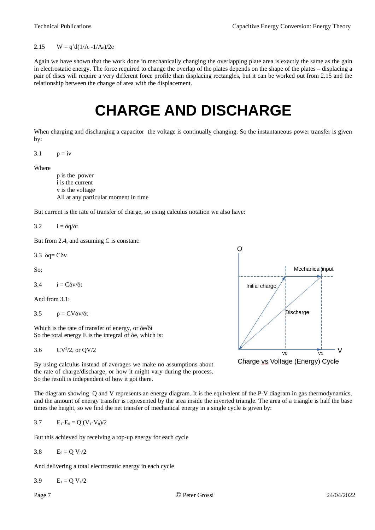#### 2.15  $W = q^2d(1/A_1 - 1/A_0)/2e$

Again we have shown that the work done in mechanically changing the overlapping plate area is exactly the same as the gain in electrostatic energy. The force required to change the overlap of the plates depends on the shape of the plates – displacing a pair of discs will require a very different force profile than displacing rectangles, but it can be worked out from 2.15 and the relationship between the change of area with the displacement.

### <span id="page-6-0"></span>**CHARGE AND DISCHARGE**

When charging and discharging a capacitor the voltage is continually changing. So the instantaneous power transfer is given by:

3.1  $p = iv$ 

Where

p is the power i is the current v is the voltage All at any particular moment in time

But current is the rate of transfer of charge, so using calculus notation we also have:

3.2  $i = \delta \frac{\partial}{\partial t}$ 

But from 2.4, and assuming C is constant:

3.3  $\delta$ q= C $\delta$ v

So:

3.4  $i = C\delta v/\delta t$ 

And from 3.1:

3.5  $p = CV\delta v/\delta t$ 

Which is the rate of transfer of energy, or δe/δt So the total energy E is the integral of δe, which is:

3.6  $CV^2/2$ , or  $QV/2$ 

By using calculus instead of averages we make no assumptions about the rate of charge/discharge, or how it might vary during the process. So the result is independent of how it got there.

The diagram showing Q and V represents an energy diagram. It is the equivalent of the P-V diagram in gas thermodynamics, and the amount of energy transfer is represented by the area inside the inverted triangle. The area of a triangle is half the base times the height, so we find the net transfer of mechanical energy in a single cycle is given by:

3.7 
$$
E_1 - E_0 = Q (V_1 - V_0)/2
$$

But this achieved by receiving a top-up energy for each cycle

$$
3.8 \qquad E_0 = Q V_0/2
$$

And delivering a total electrostatic energy in each cycle

3.9  $E_1 = Q V_1/2$ 

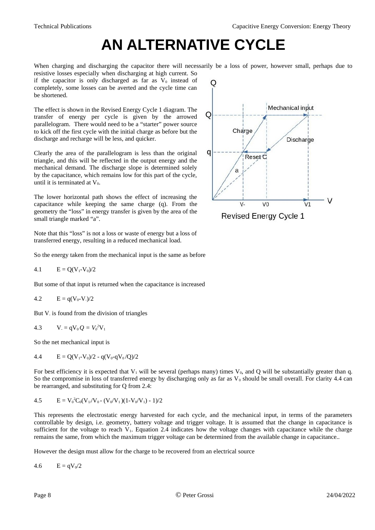## <span id="page-7-0"></span>**AN ALTERNATIVE CYCLE**

When charging and discharging the capacitor there will necessarily be a loss of power, however small, perhaps due to resistive losses especially when discharging at high current. So

if the capacitor is only discharged as far as  $V_0$  instead of completely, some losses can be averted and the cycle time can be shortened.

The effect is shown in the Revised Energy Cycle 1 diagram. The transfer of energy per cycle is given by the arrowed parallelogram. There would need to be a "starter" power source to kick off the first cycle with the initial charge as before but the discharge and recharge will be less, and quicker.

Clearly the area of the parallelogram is less than the original triangle, and this will be reflected in the output energy and the mechanical demand. The discharge slope is determined solely by the capacitance, which remains low for this part of the cycle, until it is terminated at  $V_0$ .

The lower horizontal path shows the effect of increasing the capacitance while keeping the same charge (q). From the geometry the "loss" in energy transfer is given by the area of the small triangle marked "a".

Note that this "loss" is not a loss or waste of energy but a loss of transferred energy, resulting in a reduced mechanical load.

So the energy taken from the mechanical input is the same as before

4.1 
$$
E = Q(V_1 - V_0)/2
$$

But some of that input is returned when the capacitance is increased

4.2 
$$
E = q(V_0 - V_1)/2
$$

But V<sub>-</sub> is found from the division of triangles

4.3 
$$
V = qV_0 Q = V_0^2 V_1
$$

So the net mechanical input is

4.4 
$$
E = Q(V_1 - V_0)/2 - q(V_0 - qV_0/Q)/2
$$

For best efficiency it is expected that  $V_1$  will be several (perhaps many) times  $V_0$ , and Q will be substantially greater than q. So the compromise in loss of transferred energy by discharging only as far as  $V_0$  should be small overall. For clarity 4.4 can be rearranged, and substituting for Q from 2.4:

4.5 
$$
E = V_0^2 C_0 (V_1 / V_0 - (V_0 / V_1) (1 - V_0 / V_1) - 1) / 2
$$

This represents the electrostatic energy harvested for each cycle, and the mechanical input, in terms of the parameters controllable by design, i.e. geometry, battery voltage and trigger voltage. It is assumed that the change in capacitance is sufficient for the voltage to reach  $V_1$ . Equation 2.4 indicates how the voltage changes with capacitance while the charge remains the same, from which the maximum trigger voltage can be determined from the available change in capacitance..

However the design must allow for the charge to be recovered from an electrical source

4.6  $E = qV_0/2$ 



Revised Energy Cycle 1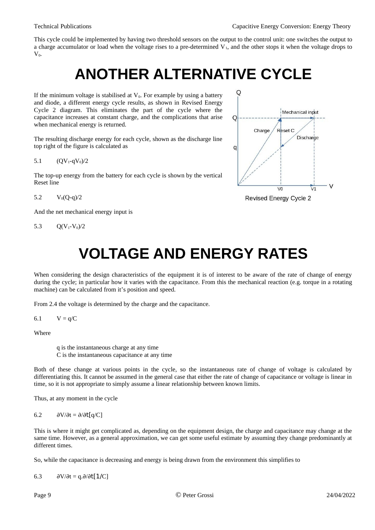This cycle could be implemented by having two threshold sensors on the output to the control unit: one switches the output to a charge accumulator or load when the voltage rises to a pre-determined  $V_1$ , and the other stops it when the voltage drops to  $V_0$ .

### <span id="page-8-1"></span>**ANOTHER ALTERNATIVE CYCLE**

If the minimum voltage is stabilised at  $V_0$ . For example by using a battery and diode, a different energy cycle results, as shown in Revised Energy Cycle 2 diagram. This eliminates the part of the cycle where the capacitance increases at constant charge, and the complications that arise when mechanical energy is returned.

The resulting discharge energy for each cycle, shown as the discharge line top right of the figure is calculated as

5.1  $(QV_1 - qV_0)/2$ 

The top-up energy from the battery for each cycle is shown by the vertical Reset line

5.2  $V_0(O-a)/2$ 

And the net mechanical energy input is

5.3  $Q(V_1-V_0)/2$ 



## <span id="page-8-0"></span>**VOLTAGE AND ENERGY RATES**

When considering the design characteristics of the equipment it is of interest to be aware of the rate of change of energy during the cycle; in particular how it varies with the capacitance. From this the mechanical reaction (e.g. torque in a rotating machine) can be calculated from it's position and speed.

From 2.4 the voltage is determined by the charge and the capacitance.

$$
6.1 \qquad V = q/C
$$

Where

q is the instantaneous charge at any time C is the instantaneous capacitance at any time

Both of these change at various points in the cycle, so the instantaneous rate of change of voltage is calculated by differentiating this. It cannot be assumed in the general case that either the rate of change of capacitance or voltage is linear in time, so it is not appropriate to simply assume a linear relationship between known limits.

Thus, at any moment in the cycle

$$
6.2 \qquad \partial V/\partial t = \partial/\partial t[q/C]
$$

This is where it might get complicated as, depending on the equipment design, the charge and capacitance may change at the same time. However, as a general approximation, we can get some useful estimate by assuming they change predominantly at different times.

So, while the capacitance is decreasing and energy is being drawn from the environment this simplifies to

6.3  $\partial V/\partial t = q.\partial/\partial t[1/C]$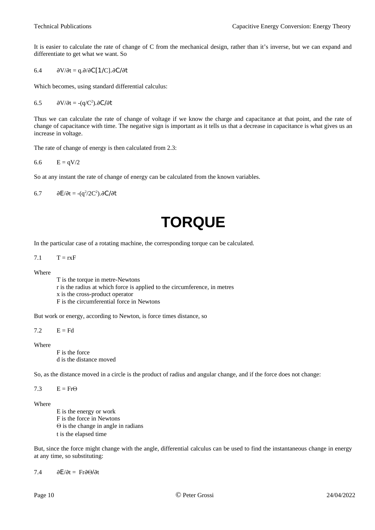It is easier to calculate the rate of change of C from the mechanical design, rather than it's inverse, but we can expand and differentiate to get what we want. So

6.4  $\partial V/\partial t = q.\partial/\partial C[1/C].\partial C/\partial t$ 

Which becomes, using standard differential calculus:

$$
6.5 \qquad \partial V/\partial t = -(q/C^2).\partial C/\partial t
$$

Thus we can calculate the rate of change of voltage if we know the charge and capacitance at that point, and the rate of change of capacitance with time. The negative sign is important as it tells us that a decrease in capacitance is what gives us an increase in voltage.

The rate of change of energy is then calculated from 2.3:

$$
6.6 \qquad E = qV/2
$$

So at any instant the rate of change of energy can be calculated from the known variables.

6.7  $\partial E/\partial t = -(q^2/2C^2).\partial C/\partial t$ 

## <span id="page-9-0"></span>**TORQUE**

In the particular case of a rotating machine, the corresponding torque can be calculated.

7.1  $T = rxF$ 

#### Where

T is the torque in metre-Newtons

r is the radius at which force is applied to the circumference, in metres

x is the cross-product operator

F is the circumferential force in Newtons

But work or energy, according to Newton, is force times distance, so

 $7.2$   $E = Fd$ 

Where

F is the force d is the distance moved

So, as the distance moved in a circle is the product of radius and angular change, and if the force does not change:

7.3  $E = Fr\Theta$ 

#### Where

E is the energy or work F is the force in Newtons Θ is the change in angle in radians t is the elapsed time

But, since the force might change with the angle, differential calculus can be used to find the instantaneous change in energy at any time, so substituting:

7.4 ∂E/∂t = Fr∂Θ/∂t